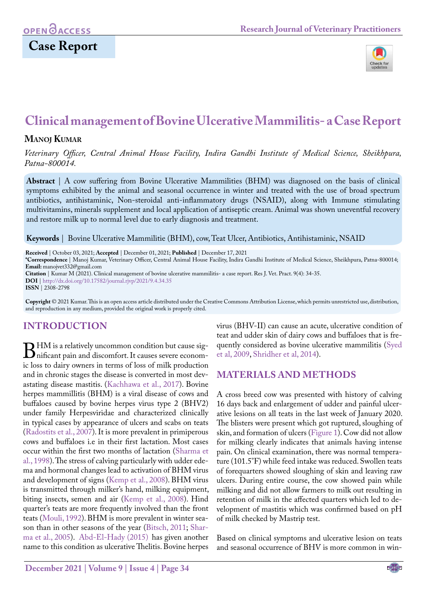## **Case Report**



# **Clinical management of Bovine Ulcerative Mammilitis- a Case Report**

#### **Manoj Kumar**

*Veterinary Officer, Central Animal House Facility, Indira Gandhi Institute of Medical Science, Sheikhpura, Patna-800014.*

**Abstract** | A cow suffering from Bovine Ulcerative Mammilities (BHM) was diagnosed on the basis of clinical symptoms exhibited by the animal and seasonal occurrence in winter and treated with the use of broad spectrum antibiotics, antihistaminic, Non-steroidal anti-inflammatory drugs (NSAID), along with Immune stimulating multivitamins, minerals supplement and local application of antiseptic cream. Animal was shown uneventful recovery and restore milk up to normal level due to early diagnosis and treatment.

**Keywords** | Bovine Ulcerative Mammilitie (BHM), cow, Teat Ulcer, Antibiotics, Antihistaminic, NSAID

**Received** | October 03, 2021; **Accepted** | December 01, 2021; **Published** | December 17, 2021

**\*Correspondence** | Manoj Kumar, Veterinary Officer, Central Animal House Facility, Indira Gandhi Institute of Medical Science, Sheikhpura, Patna-800014; **Email:** manojvet332@gmail.com

**Citation** | Kumar M (2021). Clinical management of bovine ulcerative mammilitis- a case report. Res J. Vet. Pract. 9(4): 34-35.

**DOI** | [http://dx.doi.org/10.17582/journal.rjvp/202](http://dx.doi.org/10.17582/journal.rjvp/2021/9.4.34.35)1/9.4.34.35

**ISSN** | 2308-2798

**Copyright** © 2021 Kumar. This is an open access article distributed under the Creative Commons Attribution License, which permits unrestricted use, distribution, and reproduction in any medium, provided the original work is properly cited.

### **Introduction**

BHM is a relatively uncommon condition but cause sig-<br>is loss to dairy owners in terms of loss of milk production ic loss to dairy owners in terms of loss of milk production and in chronic stages the disease is converted in most devastating disease mastitis. ([Kachhawa et al., 2017\)](#page-1-0). Bovine herpes mammillitis (BHM) is a viral disease of cows and buffaloes caused by bovine herpes virus type 2 (BHV2) under family Herpesviridae and characterized clinically in typical cases by appearance of ulcers and scabs on teats (Radostits et al., 2007). It is more prevalent in primiperous cows and buffaloes i.e in their first lactation. Most cases occur within the first two months of lactation ([Sharma et](#page-1-1) [al., 1998](#page-1-1)). The stress of calving particularly with udder edema and hormonal changes lead to activation of BHM virus and development of signs [\(Kemp et al., 2008\)](#page-1-2). BHM virus is transmitted through milker's hand, milking equipment, biting insects, semen and air ([Kemp et al., 2008](#page-1-2)). Hind quarter's teats are more frequently involved than the front teats [\(Mouli, 1992](#page-1-3)). BHM is more prevalent in winter season than in other seasons of the year [\(Bitsch, 2011;](#page-1-4) [Shar](#page-1-5)[ma et al., 2005](#page-1-5)). [Abd-El-Hady \(2015\)](#page-1-6) has given another name to this condition as ulcerative Thelitis. Bovine herpes

virus (BHV-II) can cause an acute, ulcerative condition of teat and udder skin of dairy cows and buffaloes that is frequently considered as bovine ulcerative mammilitis ([Syed](#page-1-7) [et al, 2009,](#page-1-7) [Shridher et al, 2014\)](#page-1-8).

#### **Materials and Methods**

A cross breed cow was presented with history of calving 16 days back and enlargement of udder and painful ulcerative lesions on all teats in the last week of January 2020. The blisters were present which got ruptured, sloughing of skin, and formation of ulcers ([Figure 1](#page-1-9)). Cow did not allow for milking clearly indicates that animals having intense pain. On clinical examination, there was normal temperature (101.5°F) while feed intake was reduced. Swollen teats of forequarters showed sloughing of skin and leaving raw ulcers. During entire course, the cow showed pain while milking and did not allow farmers to milk out resulting in retention of milk in the affected quarters which led to development of mastitis which was confirmed based on pH of milk checked by Mastrip test.

Based on clinical symptoms and ulcerative lesion on teats and seasonal occurrence of BHV is more common in win-